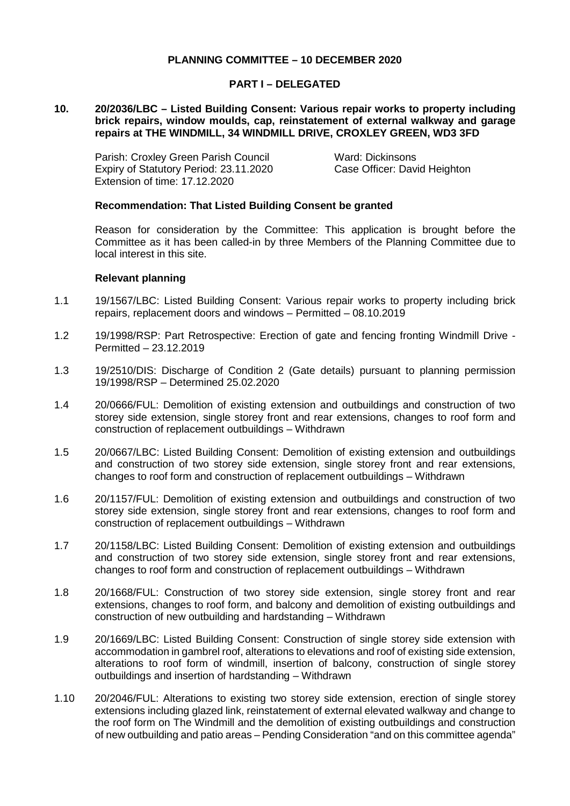## **PLANNING COMMITTEE – 10 DECEMBER 2020**

### **PART I – DELEGATED**

### **10. 20/2036/LBC – Listed Building Consent: Various repair works to property including brick repairs, window moulds, cap, reinstatement of external walkway and garage repairs at THE WINDMILL, 34 WINDMILL DRIVE, CROXLEY GREEN, WD3 3FD**

Parish: Croxley Green Parish Council Ward: Dickinsons Expiry of Statutory Period: 23.11.2020 Case Officer: David Heighton Extension of time: 17.12.2020

#### **Recommendation: That Listed Building Consent be granted**

Reason for consideration by the Committee: This application is brought before the Committee as it has been called-in by three Members of the Planning Committee due to local interest in this site.

#### **Relevant planning**

- 1.1 19/1567/LBC: Listed Building Consent: Various repair works to property including brick repairs, replacement doors and windows – Permitted – 08.10.2019
- 1.2 19/1998/RSP: Part Retrospective: Erection of gate and fencing fronting Windmill Drive Permitted – 23.12.2019
- 1.3 19/2510/DIS: Discharge of Condition 2 (Gate details) pursuant to planning permission 19/1998/RSP – Determined 25.02.2020
- 1.4 20/0666/FUL: Demolition of existing extension and outbuildings and construction of two storey side extension, single storey front and rear extensions, changes to roof form and construction of replacement outbuildings – Withdrawn
- 1.5 20/0667/LBC: Listed Building Consent: Demolition of existing extension and outbuildings and construction of two storey side extension, single storey front and rear extensions, changes to roof form and construction of replacement outbuildings – Withdrawn
- 1.6 20/1157/FUL: Demolition of existing extension and outbuildings and construction of two storey side extension, single storey front and rear extensions, changes to roof form and construction of replacement outbuildings – Withdrawn
- 1.7 20/1158/LBC: Listed Building Consent: Demolition of existing extension and outbuildings and construction of two storey side extension, single storey front and rear extensions, changes to roof form and construction of replacement outbuildings – Withdrawn
- 1.8 20/1668/FUL: Construction of two storey side extension, single storey front and rear extensions, changes to roof form, and balcony and demolition of existing outbuildings and construction of new outbuilding and hardstanding – Withdrawn
- 1.9 20/1669/LBC: Listed Building Consent: Construction of single storey side extension with accommodation in gambrel roof, alterations to elevations and roof of existing side extension, alterations to roof form of windmill, insertion of balcony, construction of single storey outbuildings and insertion of hardstanding – Withdrawn
- 1.10 20/2046/FUL: Alterations to existing two storey side extension, erection of single storey extensions including glazed link, reinstatement of external elevated walkway and change to the roof form on The Windmill and the demolition of existing outbuildings and construction of new outbuilding and patio areas – Pending Consideration "and on this committee agenda"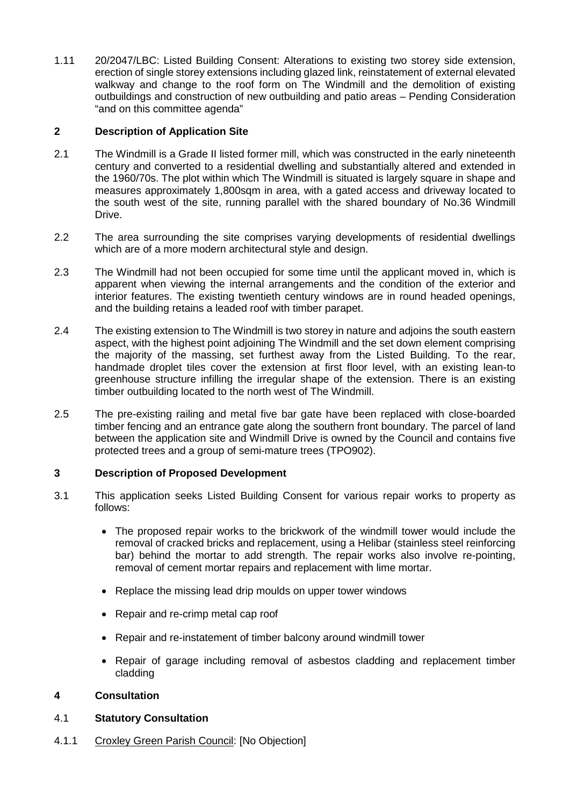1.11 20/2047/LBC: Listed Building Consent: Alterations to existing two storey side extension, erection of single storey extensions including glazed link, reinstatement of external elevated walkway and change to the roof form on The Windmill and the demolition of existing outbuildings and construction of new outbuilding and patio areas – Pending Consideration "and on this committee agenda"

# **2 Description of Application Site**

- 2.1 The Windmill is a Grade II listed former mill, which was constructed in the early nineteenth century and converted to a residential dwelling and substantially altered and extended in the 1960/70s. The plot within which The Windmill is situated is largely square in shape and measures approximately 1,800sqm in area, with a gated access and driveway located to the south west of the site, running parallel with the shared boundary of No.36 Windmill Drive.
- 2.2 The area surrounding the site comprises varying developments of residential dwellings which are of a more modern architectural style and design.
- 2.3 The Windmill had not been occupied for some time until the applicant moved in, which is apparent when viewing the internal arrangements and the condition of the exterior and interior features. The existing twentieth century windows are in round headed openings, and the building retains a leaded roof with timber parapet.
- 2.4 The existing extension to The Windmill is two storey in nature and adjoins the south eastern aspect, with the highest point adjoining The Windmill and the set down element comprising the majority of the massing, set furthest away from the Listed Building. To the rear, handmade droplet tiles cover the extension at first floor level, with an existing lean-to greenhouse structure infilling the irregular shape of the extension. There is an existing timber outbuilding located to the north west of The Windmill.
- 2.5 The pre-existing railing and metal five bar gate have been replaced with close-boarded timber fencing and an entrance gate along the southern front boundary. The parcel of land between the application site and Windmill Drive is owned by the Council and contains five protected trees and a group of semi-mature trees (TPO902).

## **3 Description of Proposed Development**

- 3.1 This application seeks Listed Building Consent for various repair works to property as follows:
	- The proposed repair works to the brickwork of the windmill tower would include the removal of cracked bricks and replacement, using a Helibar (stainless steel reinforcing bar) behind the mortar to add strength. The repair works also involve re-pointing, removal of cement mortar repairs and replacement with lime mortar.
	- Replace the missing lead drip moulds on upper tower windows
	- Repair and re-crimp metal cap roof
	- Repair and re-instatement of timber balcony around windmill tower
	- Repair of garage including removal of asbestos cladding and replacement timber cladding

## **4 Consultation**

## 4.1 **Statutory Consultation**

4.1.1 Croxley Green Parish Council: [No Objection]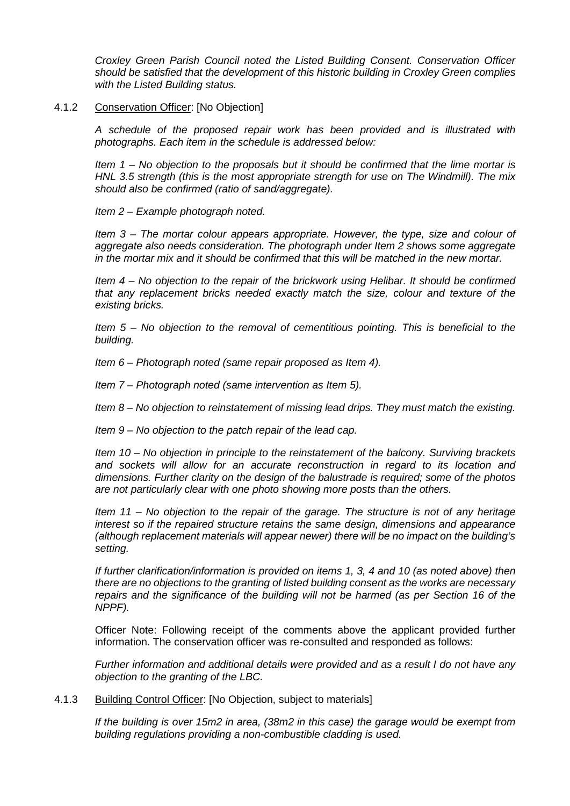*Croxley Green Parish Council noted the Listed Building Consent. Conservation Officer should be satisfied that the development of this historic building in Croxley Green complies with the Listed Building status.*

### 4.1.2 Conservation Officer: [No Objection]

*A schedule of the proposed repair work has been provided and is illustrated with photographs. Each item in the schedule is addressed below:* 

*Item 1 – No objection to the proposals but it should be confirmed that the lime mortar is HNL 3.5 strength (this is the most appropriate strength for use on The Windmill). The mix should also be confirmed (ratio of sand/aggregate).* 

*Item 2 – Example photograph noted.* 

*Item 3 – The mortar colour appears appropriate. However, the type, size and colour of aggregate also needs consideration. The photograph under Item 2 shows some aggregate in the mortar mix and it should be confirmed that this will be matched in the new mortar.* 

*Item 4 – No objection to the repair of the brickwork using Helibar. It should be confirmed that any replacement bricks needed exactly match the size, colour and texture of the existing bricks.* 

*Item 5 – No objection to the removal of cementitious pointing. This is beneficial to the building.* 

*Item 6 – Photograph noted (same repair proposed as Item 4).* 

*Item 7 – Photograph noted (same intervention as Item 5).* 

*Item 8 – No objection to reinstatement of missing lead drips. They must match the existing.* 

*Item 9 – No objection to the patch repair of the lead cap.* 

*Item 10 – No objection in principle to the reinstatement of the balcony. Surviving brackets and sockets will allow for an accurate reconstruction in regard to its location and dimensions. Further clarity on the design of the balustrade is required; some of the photos are not particularly clear with one photo showing more posts than the others.* 

*Item 11 – No objection to the repair of the garage. The structure is not of any heritage interest so if the repaired structure retains the same design, dimensions and appearance (although replacement materials will appear newer) there will be no impact on the building's setting.* 

*If further clarification/information is provided on items 1, 3, 4 and 10 (as noted above) then there are no objections to the granting of listed building consent as the works are necessary repairs and the significance of the building will not be harmed (as per Section 16 of the NPPF).*

Officer Note: Following receipt of the comments above the applicant provided further information. The conservation officer was re-consulted and responded as follows:

*Further information and additional details were provided and as a result I do not have any objection to the granting of the LBC.*

4.1.3 Building Control Officer: [No Objection, subject to materials]

*If the building is over 15m2 in area, (38m2 in this case) the garage would be exempt from building regulations providing a non-combustible cladding is used.*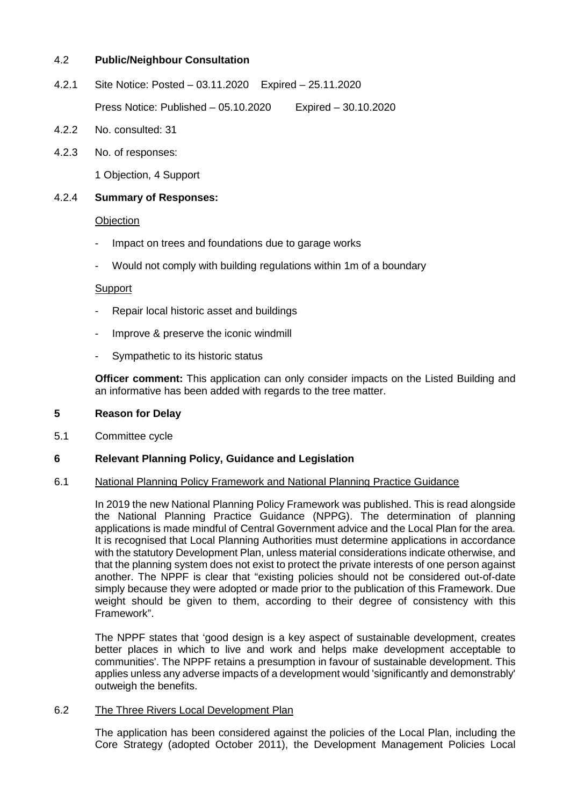## 4.2 **Public/Neighbour Consultation**

- 4.2.1 Site Notice: Posted 03.11.2020 Expired 25.11.2020 Press Notice: Published – 05.10.2020 Expired – 30.10.2020
- 4.2.2 No. consulted: 31
- 4.2.3 No. of responses:

1 Objection, 4 Support

### 4.2.4 **Summary of Responses:**

#### **Objection**

- Impact on trees and foundations due to garage works
- Would not comply with building regulations within 1m of a boundary

#### **Support**

- Repair local historic asset and buildings
- Improve & preserve the iconic windmill
- Sympathetic to its historic status

**Officer comment:** This application can only consider impacts on the Listed Building and an informative has been added with regards to the tree matter.

#### **5 Reason for Delay**

5.1 Committee cycle

### **6 Relevant Planning Policy, Guidance and Legislation**

#### 6.1 National Planning Policy Framework and National Planning Practice Guidance

In 2019 the new National Planning Policy Framework was published. This is read alongside the National Planning Practice Guidance (NPPG). The determination of planning applications is made mindful of Central Government advice and the Local Plan for the area. It is recognised that Local Planning Authorities must determine applications in accordance with the statutory Development Plan, unless material considerations indicate otherwise, and that the planning system does not exist to protect the private interests of one person against another. The NPPF is clear that "existing policies should not be considered out-of-date simply because they were adopted or made prior to the publication of this Framework. Due weight should be given to them, according to their degree of consistency with this Framework".

The NPPF states that 'good design is a key aspect of sustainable development, creates better places in which to live and work and helps make development acceptable to communities'. The NPPF retains a presumption in favour of sustainable development. This applies unless any adverse impacts of a development would 'significantly and demonstrably' outweigh the benefits.

#### 6.2 The Three Rivers Local Development Plan

The application has been considered against the policies of the Local Plan, including the Core Strategy (adopted October 2011), the Development Management Policies Local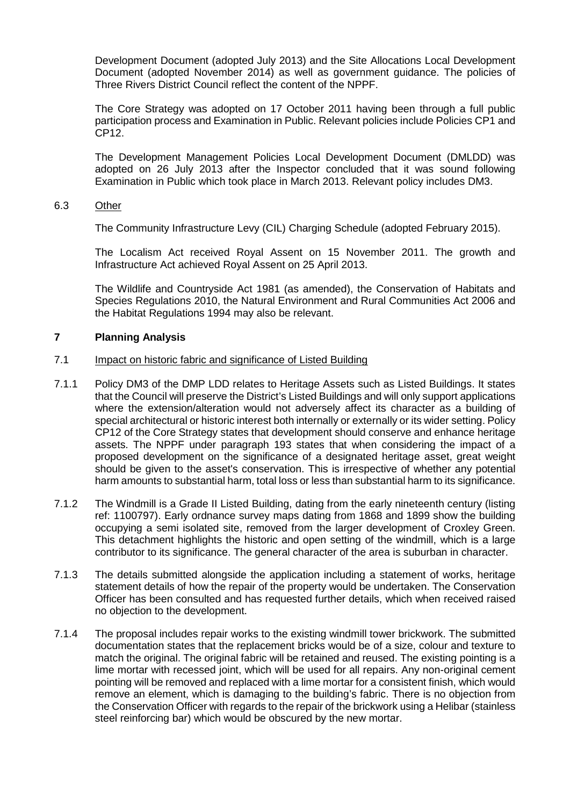Development Document (adopted July 2013) and the Site Allocations Local Development Document (adopted November 2014) as well as government guidance. The policies of Three Rivers District Council reflect the content of the NPPF.

The Core Strategy was adopted on 17 October 2011 having been through a full public participation process and Examination in Public. Relevant policies include Policies CP1 and CP12.

The Development Management Policies Local Development Document (DMLDD) was adopted on 26 July 2013 after the Inspector concluded that it was sound following Examination in Public which took place in March 2013. Relevant policy includes DM3.

### 6.3 Other

The Community Infrastructure Levy (CIL) Charging Schedule (adopted February 2015).

The Localism Act received Royal Assent on 15 November 2011. The growth and Infrastructure Act achieved Royal Assent on 25 April 2013.

The Wildlife and Countryside Act 1981 (as amended), the Conservation of Habitats and Species Regulations 2010, the Natural Environment and Rural Communities Act 2006 and the Habitat Regulations 1994 may also be relevant.

## **7 Planning Analysis**

### 7.1 Impact on historic fabric and significance of Listed Building

- 7.1.1 Policy DM3 of the DMP LDD relates to Heritage Assets such as Listed Buildings. It states that the Council will preserve the District's Listed Buildings and will only support applications where the extension/alteration would not adversely affect its character as a building of special architectural or historic interest both internally or externally or its wider setting. Policy CP12 of the Core Strategy states that development should conserve and enhance heritage assets. The NPPF under paragraph 193 states that when considering the impact of a proposed development on the significance of a designated heritage asset, great weight should be given to the asset's conservation. This is irrespective of whether any potential harm amounts to substantial harm, total loss or less than substantial harm to its significance.
- 7.1.2 The Windmill is a Grade II Listed Building, dating from the early nineteenth century (listing ref: 1100797). Early ordnance survey maps dating from 1868 and 1899 show the building occupying a semi isolated site, removed from the larger development of Croxley Green. This detachment highlights the historic and open setting of the windmill, which is a large contributor to its significance. The general character of the area is suburban in character.
- 7.1.3 The details submitted alongside the application including a statement of works, heritage statement details of how the repair of the property would be undertaken. The Conservation Officer has been consulted and has requested further details, which when received raised no objection to the development.
- 7.1.4 The proposal includes repair works to the existing windmill tower brickwork. The submitted documentation states that the replacement bricks would be of a size, colour and texture to match the original. The original fabric will be retained and reused. The existing pointing is a lime mortar with recessed joint, which will be used for all repairs. Any non-original cement pointing will be removed and replaced with a lime mortar for a consistent finish, which would remove an element, which is damaging to the building's fabric. There is no objection from the Conservation Officer with regards to the repair of the brickwork using a Helibar (stainless steel reinforcing bar) which would be obscured by the new mortar.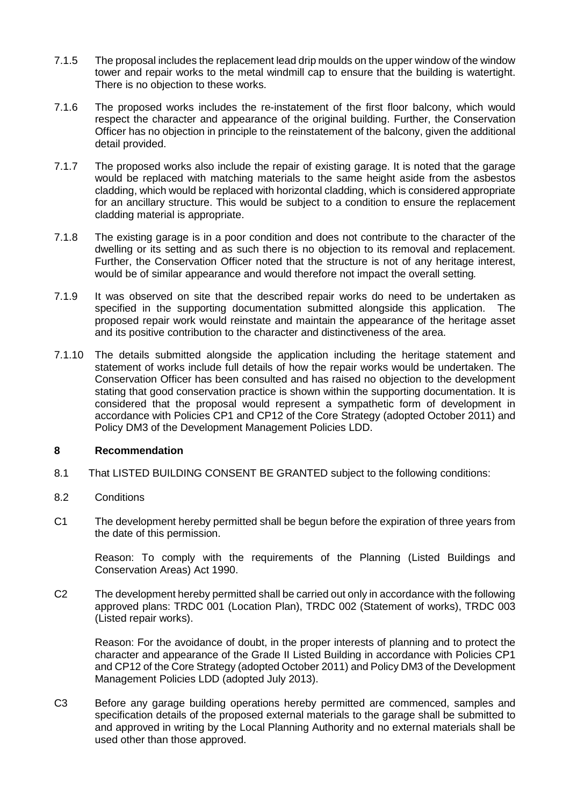- 7.1.5 The proposal includes the replacement lead drip moulds on the upper window of the window tower and repair works to the metal windmill cap to ensure that the building is watertight. There is no objection to these works.
- 7.1.6 The proposed works includes the re-instatement of the first floor balcony, which would respect the character and appearance of the original building. Further, the Conservation Officer has no objection in principle to the reinstatement of the balcony, given the additional detail provided.
- 7.1.7 The proposed works also include the repair of existing garage. It is noted that the garage would be replaced with matching materials to the same height aside from the asbestos cladding, which would be replaced with horizontal cladding, which is considered appropriate for an ancillary structure. This would be subject to a condition to ensure the replacement cladding material is appropriate.
- 7.1.8 The existing garage is in a poor condition and does not contribute to the character of the dwelling or its setting and as such there is no objection to its removal and replacement. Further, the Conservation Officer noted that the structure is not of any heritage interest, would be of similar appearance and would therefore not impact the overall setting*.*
- 7.1.9 It was observed on site that the described repair works do need to be undertaken as specified in the supporting documentation submitted alongside this application. The proposed repair work would reinstate and maintain the appearance of the heritage asset and its positive contribution to the character and distinctiveness of the area.
- 7.1.10 The details submitted alongside the application including the heritage statement and statement of works include full details of how the repair works would be undertaken. The Conservation Officer has been consulted and has raised no objection to the development stating that good conservation practice is shown within the supporting documentation. It is considered that the proposal would represent a sympathetic form of development in accordance with Policies CP1 and CP12 of the Core Strategy (adopted October 2011) and Policy DM3 of the Development Management Policies LDD.

## **8 Recommendation**

- 8.1 That LISTED BUILDING CONSENT BE GRANTED subject to the following conditions:
- 8.2 Conditions
- C1 The development hereby permitted shall be begun before the expiration of three years from the date of this permission.

Reason: To comply with the requirements of the Planning (Listed Buildings and Conservation Areas) Act 1990.

C2 The development hereby permitted shall be carried out only in accordance with the following approved plans: TRDC 001 (Location Plan), TRDC 002 (Statement of works), TRDC 003 (Listed repair works).

Reason: For the avoidance of doubt, in the proper interests of planning and to protect the character and appearance of the Grade II Listed Building in accordance with Policies CP1 and CP12 of the Core Strategy (adopted October 2011) and Policy DM3 of the Development Management Policies LDD (adopted July 2013).

C3 Before any garage building operations hereby permitted are commenced, samples and specification details of the proposed external materials to the garage shall be submitted to and approved in writing by the Local Planning Authority and no external materials shall be used other than those approved.